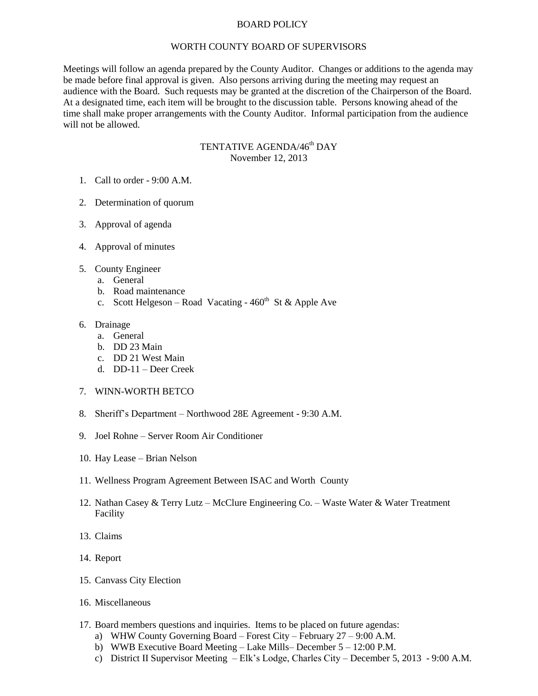## BOARD POLICY

## WORTH COUNTY BOARD OF SUPERVISORS

Meetings will follow an agenda prepared by the County Auditor. Changes or additions to the agenda may be made before final approval is given. Also persons arriving during the meeting may request an audience with the Board. Such requests may be granted at the discretion of the Chairperson of the Board. At a designated time, each item will be brought to the discussion table. Persons knowing ahead of the time shall make proper arrangements with the County Auditor. Informal participation from the audience will not be allowed.

## TENTATIVE AGENDA/46<sup>th</sup> DAY November 12, 2013

- 1. Call to order 9:00 A.M.
- 2. Determination of quorum
- 3. Approval of agenda
- 4. Approval of minutes
- 5. County Engineer
	- a. General
	- b. Road maintenance
	- c. Scott Helgeson Road Vacating  $460<sup>th</sup>$  St & Apple Ave
- 6. Drainage
	- a. General
	- b. DD 23 Main
	- c. DD 21 West Main
	- d. DD-11 Deer Creek
- 7. WINN-WORTH BETCO
- 8. Sheriff's Department Northwood 28E Agreement 9:30 A.M.
- 9. Joel Rohne Server Room Air Conditioner
- 10. Hay Lease Brian Nelson
- 11. Wellness Program Agreement Between ISAC and Worth County
- 12. Nathan Casey & Terry Lutz McClure Engineering Co. Waste Water & Water Treatment Facility
- 13. Claims
- 14. Report
- 15. Canvass City Election
- 16. Miscellaneous
- 17. Board members questions and inquiries. Items to be placed on future agendas:
	- a) WHW County Governing Board Forest City February 27 9:00 A.M.
	- b) WWB Executive Board Meeting Lake Mills– December 5 12:00 P.M.
	- c) District II Supervisor Meeting Elk's Lodge, Charles City December 5, 2013 9:00 A.M.